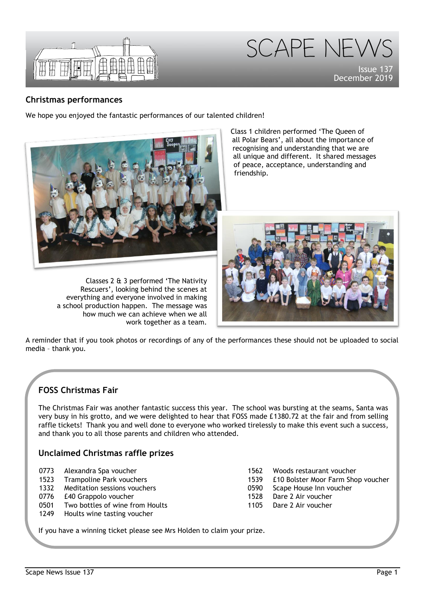

SCAPE NEW **Issue** December 2019

## **Christmas performances**

We hope you enjoyed the fantastic performances of our talented children!



Classes 2 & 3 performed 'The Nativity Rescuers', looking behind the scenes at everything and everyone involved in making a school production happen. The message was how much we can achieve when we all work together as a team.

Class 1 children performed 'The Queen of all Polar Bears', all about the importance of recognising and understanding that we are all unique and different. It shared messages of peace, acceptance, understanding and friendship.



A reminder that if you took photos or recordings of any of the performances these should not be uploaded to social media – thank you.

# **FOSS Christmas Fair**

The Christmas Fair was another fantastic success this year. The school was bursting at the seams, Santa was very busy in his grotto, and we were delighted to hear that FOSS made £1380.72 at the fair and from selling raffle tickets! Thank you and well done to everyone who worked tirelessly to make this event such a success, and thank you to all those parents and children who attended.

# **Unclaimed Christmas raffle prizes**

| 0773 | Alexandra Spa voucher |  |  |
|------|-----------------------|--|--|
|------|-----------------------|--|--|

- 1523 Trampoline Park vouchers
- 1332 Meditation sessions vouchers
- 0776 £40 Grappolo voucher
- 0501 Two bottles of wine from Hoults
- 1249 Hoults wine tasting voucher
- 1562 Woods restaurant voucher
- 1539 £10 Bolster Moor Farm Shop voucher
- 0590 Scape House Inn voucher
- 1528 Dare 2 Air voucher
- 1105 Dare 2 Air voucher

If you have a winning ticket please see Mrs Holden to claim your prize.